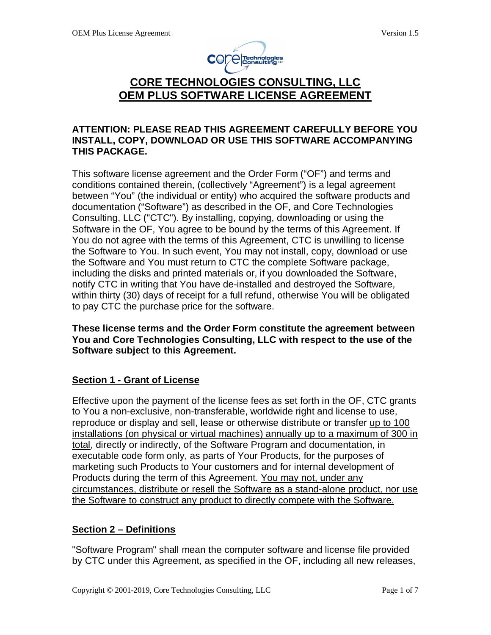

# **CORE TECHNOLOGIES CONSULTING, LLC OEM PLUS SOFTWARE LICENSE AGREEMENT**

#### **ATTENTION: PLEASE READ THIS AGREEMENT CAREFULLY BEFORE YOU INSTALL, COPY, DOWNLOAD OR USE THIS SOFTWARE ACCOMPANYING THIS PACKAGE.**

This software license agreement and the Order Form ("OF") and terms and conditions contained therein, (collectively "Agreement") is a legal agreement between "You" (the individual or entity) who acquired the software products and documentation ("Software") as described in the OF, and Core Technologies Consulting, LLC ("CTC"). By installing, copying, downloading or using the Software in the OF, You agree to be bound by the terms of this Agreement. If You do not agree with the terms of this Agreement, CTC is unwilling to license the Software to You. In such event, You may not install, copy, download or use the Software and You must return to CTC the complete Software package, including the disks and printed materials or, if you downloaded the Software, notify CTC in writing that You have de-installed and destroyed the Software, within thirty (30) days of receipt for a full refund, otherwise You will be obligated to pay CTC the purchase price for the software.

**These license terms and the Order Form constitute the agreement between You and Core Technologies Consulting, LLC with respect to the use of the Software subject to this Agreement.** 

## **Section 1 - Grant of License**

Effective upon the payment of the license fees as set forth in the OF, CTC grants to You a non-exclusive, non-transferable, worldwide right and license to use, reproduce or display and sell, lease or otherwise distribute or transfer up to 100 installations (on physical or virtual machines) annually up to a maximum of 300 in total, directly or indirectly, of the Software Program and documentation, in executable code form only, as parts of Your Products, for the purposes of marketing such Products to Your customers and for internal development of Products during the term of this Agreement. You may not, under any circumstances, distribute or resell the Software as a stand-alone product, nor use the Software to construct any product to directly compete with the Software.

#### **Section 2 – Definitions**

"Software Program" shall mean the computer software and license file provided by CTC under this Agreement, as specified in the OF, including all new releases,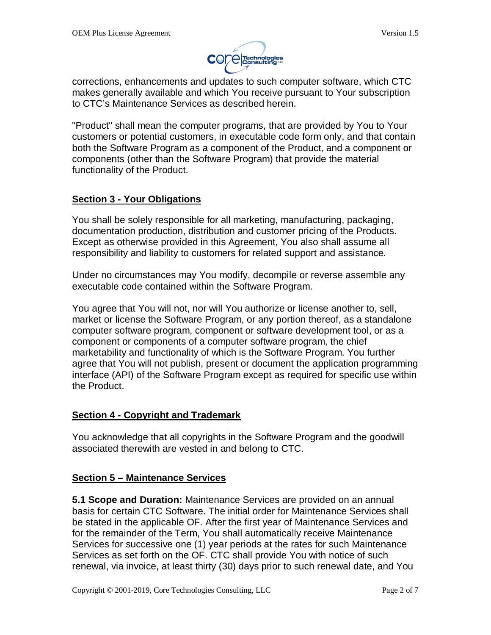

corrections, enhancements and updates to such computer software, which CTC makes generally available and which You receive pursuant to Your subscription to CTC's Maintenance Services as described herein.

"Product" shall mean the computer programs, that are provided by You to Your customers or potential customers, in executable code form only, and that contain both the Software Program as a component of the Product, and a component or components (other than the Software Program) that provide the material functionality of the Product.

## **Section 3 - Your Obligations**

You shall be solely responsible for all marketing, manufacturing, packaging, documentation production, distribution and customer pricing of the Products. Except as otherwise provided in this Agreement, You also shall assume all responsibility and liability to customers for related support and assistance.

Under no circumstances may You modify, decompile or reverse assemble any executable code contained within the Software Program.

You agree that You will not, nor will You authorize or license another to, sell, market or license the Software Program, or any portion thereof, as a standalone computer software program, component or software development tool, or as a component or components of a computer software program, the chief marketability and functionality of which is the Software Program. You further agree that You will not publish, present or document the application programming interface (API) of the Software Program except as required for specific use within the Product.

## **Section 4 - Copyright and Trademark**

You acknowledge that all copyrights in the Software Program and the goodwill associated therewith are vested in and belong to CTC.

## **Section 5 – Maintenance Services**

**5.1 Scope and Duration:** Maintenance Services are provided on an annual basis for certain CTC Software. The initial order for Maintenance Services shall be stated in the applicable OF. After the first year of Maintenance Services and for the remainder of the Term, You shall automatically receive Maintenance Services for successive one (1) year periods at the rates for such Maintenance Services as set forth on the OF. CTC shall provide You with notice of such renewal, via invoice, at least thirty (30) days prior to such renewal date, and You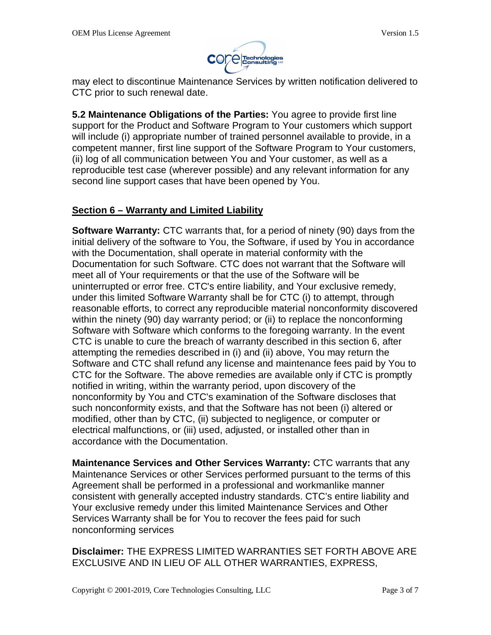

may elect to discontinue Maintenance Services by written notification delivered to CTC prior to such renewal date.

**5.2 Maintenance Obligations of the Parties:** You agree to provide first line support for the Product and Software Program to Your customers which support will include (i) appropriate number of trained personnel available to provide, in a competent manner, first line support of the Software Program to Your customers, (ii) log of all communication between You and Your customer, as well as a reproducible test case (wherever possible) and any relevant information for any second line support cases that have been opened by You.

## **Section 6 – Warranty and Limited Liability**

**Software Warranty:** CTC warrants that, for a period of ninety (90) days from the initial delivery of the software to You, the Software, if used by You in accordance with the Documentation, shall operate in material conformity with the Documentation for such Software. CTC does not warrant that the Software will meet all of Your requirements or that the use of the Software will be uninterrupted or error free. CTC's entire liability, and Your exclusive remedy, under this limited Software Warranty shall be for CTC (i) to attempt, through reasonable efforts, to correct any reproducible material nonconformity discovered within the ninety (90) day warranty period; or (ii) to replace the nonconforming Software with Software which conforms to the foregoing warranty. In the event CTC is unable to cure the breach of warranty described in this section 6, after attempting the remedies described in (i) and (ii) above, You may return the Software and CTC shall refund any license and maintenance fees paid by You to CTC for the Software. The above remedies are available only if CTC is promptly notified in writing, within the warranty period, upon discovery of the nonconformity by You and CTC's examination of the Software discloses that such nonconformity exists, and that the Software has not been (i) altered or modified, other than by CTC, (ii) subjected to negligence, or computer or electrical malfunctions, or (iii) used, adjusted, or installed other than in accordance with the Documentation.

**Maintenance Services and Other Services Warranty:** CTC warrants that any Maintenance Services or other Services performed pursuant to the terms of this Agreement shall be performed in a professional and workmanlike manner consistent with generally accepted industry standards. CTC's entire liability and Your exclusive remedy under this limited Maintenance Services and Other Services Warranty shall be for You to recover the fees paid for such nonconforming services

**Disclaimer:** THE EXPRESS LIMITED WARRANTIES SET FORTH ABOVE ARE EXCLUSIVE AND IN LIEU OF ALL OTHER WARRANTIES, EXPRESS,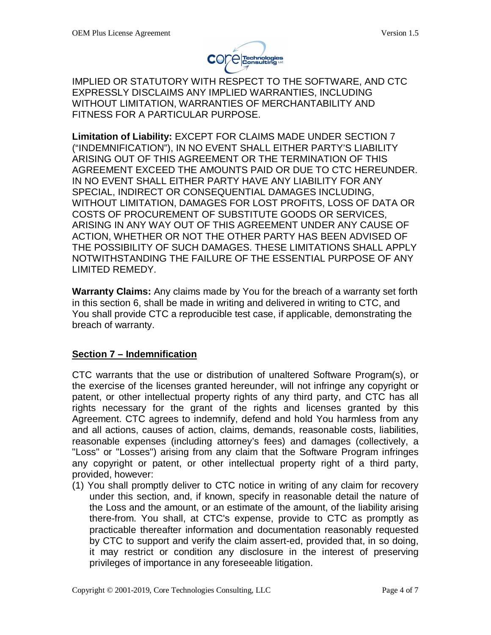

IMPLIED OR STATUTORY WITH RESPECT TO THE SOFTWARE, AND CTC EXPRESSLY DISCLAIMS ANY IMPLIED WARRANTIES, INCLUDING WITHOUT LIMITATION, WARRANTIES OF MERCHANTABILITY AND FITNESS FOR A PARTICULAR PURPOSE.

**Limitation of Liability:** EXCEPT FOR CLAIMS MADE UNDER SECTION 7 ("INDEMNIFICATION"), IN NO EVENT SHALL EITHER PARTY'S LIABILITY ARISING OUT OF THIS AGREEMENT OR THE TERMINATION OF THIS AGREEMENT EXCEED THE AMOUNTS PAID OR DUE TO CTC HEREUNDER. IN NO EVENT SHALL EITHER PARTY HAVE ANY LIABILITY FOR ANY SPECIAL, INDIRECT OR CONSEQUENTIAL DAMAGES INCLUDING, WITHOUT LIMITATION, DAMAGES FOR LOST PROFITS, LOSS OF DATA OR COSTS OF PROCUREMENT OF SUBSTITUTE GOODS OR SERVICES, ARISING IN ANY WAY OUT OF THIS AGREEMENT UNDER ANY CAUSE OF ACTION, WHETHER OR NOT THE OTHER PARTY HAS BEEN ADVISED OF THE POSSIBILITY OF SUCH DAMAGES. THESE LIMITATIONS SHALL APPLY NOTWITHSTANDING THE FAILURE OF THE ESSENTIAL PURPOSE OF ANY LIMITED REMEDY.

**Warranty Claims:** Any claims made by You for the breach of a warranty set forth in this section 6, shall be made in writing and delivered in writing to CTC, and You shall provide CTC a reproducible test case, if applicable, demonstrating the breach of warranty.

#### **Section 7 – Indemnification**

CTC warrants that the use or distribution of unaltered Software Program(s), or the exercise of the licenses granted hereunder, will not infringe any copyright or patent, or other intellectual property rights of any third party, and CTC has all rights necessary for the grant of the rights and licenses granted by this Agreement. CTC agrees to indemnify, defend and hold You harmless from any and all actions, causes of action, claims, demands, reasonable costs, liabilities, reasonable expenses (including attorney's fees) and damages (collectively, a "Loss" or "Losses") arising from any claim that the Software Program infringes any copyright or patent, or other intellectual property right of a third party, provided, however:

(1) You shall promptly deliver to CTC notice in writing of any claim for recovery under this section, and, if known, specify in reasonable detail the nature of the Loss and the amount, or an estimate of the amount, of the liability arising there-from. You shall, at CTC's expense, provide to CTC as promptly as practicable thereafter information and documentation reasonably requested by CTC to support and verify the claim assert-ed, provided that, in so doing, it may restrict or condition any disclosure in the interest of preserving privileges of importance in any foreseeable litigation.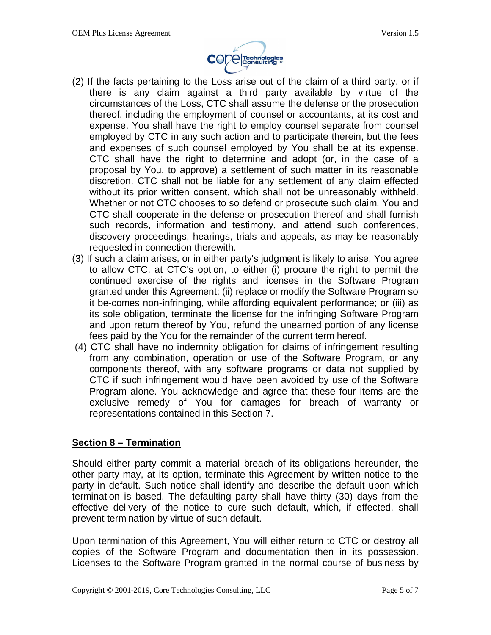

- (2) If the facts pertaining to the Loss arise out of the claim of a third party, or if there is any claim against a third party available by virtue of the circumstances of the Loss, CTC shall assume the defense or the prosecution thereof, including the employment of counsel or accountants, at its cost and expense. You shall have the right to employ counsel separate from counsel employed by CTC in any such action and to participate therein, but the fees and expenses of such counsel employed by You shall be at its expense. CTC shall have the right to determine and adopt (or, in the case of a proposal by You, to approve) a settlement of such matter in its reasonable discretion. CTC shall not be liable for any settlement of any claim effected without its prior written consent, which shall not be unreasonably withheld. Whether or not CTC chooses to so defend or prosecute such claim, You and CTC shall cooperate in the defense or prosecution thereof and shall furnish such records, information and testimony, and attend such conferences, discovery proceedings, hearings, trials and appeals, as may be reasonably requested in connection therewith.
- (3) If such a claim arises, or in either party's judgment is likely to arise, You agree to allow CTC, at CTC's option, to either (i) procure the right to permit the continued exercise of the rights and licenses in the Software Program granted under this Agreement; (ii) replace or modify the Software Program so it be-comes non-infringing, while affording equivalent performance; or (iii) as its sole obligation, terminate the license for the infringing Software Program and upon return thereof by You, refund the unearned portion of any license fees paid by the You for the remainder of the current term hereof.
- (4) CTC shall have no indemnity obligation for claims of infringement resulting from any combination, operation or use of the Software Program, or any components thereof, with any software programs or data not supplied by CTC if such infringement would have been avoided by use of the Software Program alone. You acknowledge and agree that these four items are the exclusive remedy of You for damages for breach of warranty or representations contained in this Section 7.

## **Section 8 – Termination**

Should either party commit a material breach of its obligations hereunder, the other party may, at its option, terminate this Agreement by written notice to the party in default. Such notice shall identify and describe the default upon which termination is based. The defaulting party shall have thirty (30) days from the effective delivery of the notice to cure such default, which, if effected, shall prevent termination by virtue of such default.

Upon termination of this Agreement, You will either return to CTC or destroy all copies of the Software Program and documentation then in its possession. Licenses to the Software Program granted in the normal course of business by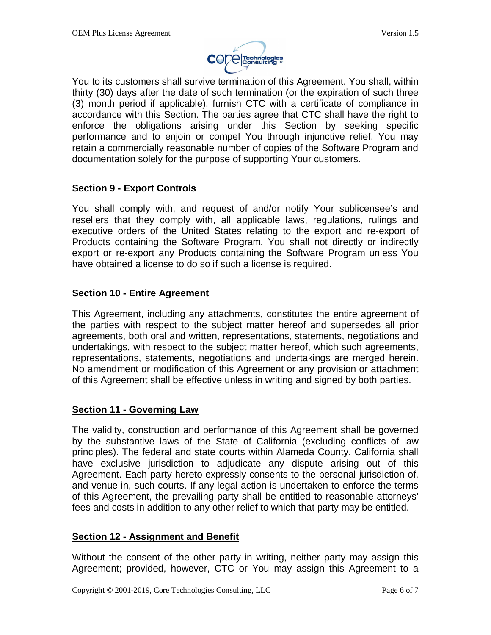

You to its customers shall survive termination of this Agreement. You shall, within thirty (30) days after the date of such termination (or the expiration of such three (3) month period if applicable), furnish CTC with a certificate of compliance in accordance with this Section. The parties agree that CTC shall have the right to enforce the obligations arising under this Section by seeking specific performance and to enjoin or compel You through injunctive relief. You may retain a commercially reasonable number of copies of the Software Program and documentation solely for the purpose of supporting Your customers.

#### **Section 9 - Export Controls**

You shall comply with, and request of and/or notify Your sublicensee's and resellers that they comply with, all applicable laws, regulations, rulings and executive orders of the United States relating to the export and re-export of Products containing the Software Program. You shall not directly or indirectly export or re-export any Products containing the Software Program unless You have obtained a license to do so if such a license is required.

#### **Section 10 - Entire Agreement**

This Agreement, including any attachments, constitutes the entire agreement of the parties with respect to the subject matter hereof and supersedes all prior agreements, both oral and written, representations, statements, negotiations and undertakings, with respect to the subject matter hereof, which such agreements, representations, statements, negotiations and undertakings are merged herein. No amendment or modification of this Agreement or any provision or attachment of this Agreement shall be effective unless in writing and signed by both parties.

## **Section 11 - Governing Law**

The validity, construction and performance of this Agreement shall be governed by the substantive laws of the State of California (excluding conflicts of law principles). The federal and state courts within Alameda County, California shall have exclusive jurisdiction to adjudicate any dispute arising out of this Agreement. Each party hereto expressly consents to the personal jurisdiction of, and venue in, such courts. If any legal action is undertaken to enforce the terms of this Agreement, the prevailing party shall be entitled to reasonable attorneys' fees and costs in addition to any other relief to which that party may be entitled.

#### **Section 12 - Assignment and Benefit**

Without the consent of the other party in writing, neither party may assign this Agreement; provided, however, CTC or You may assign this Agreement to a